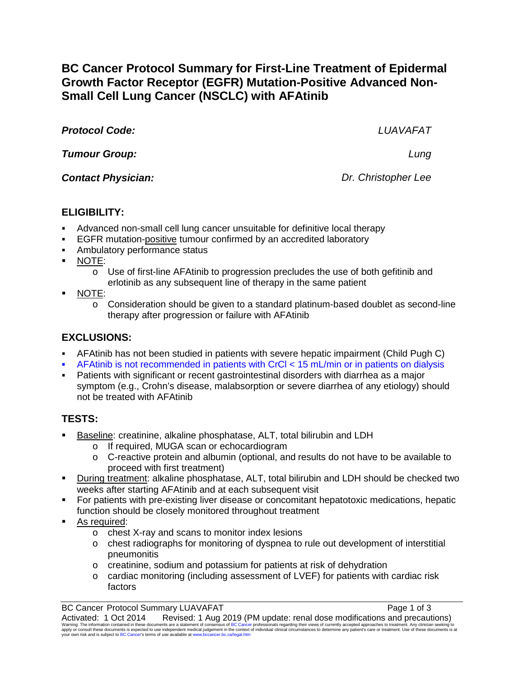**BC Cancer Protocol Summary for First-Line Treatment of Epidermal Growth Factor Receptor (EGFR) Mutation-Positive Advanced Non-Small Cell Lung Cancer (NSCLC) with AFAtinib**

*Protocol Code: LUAVAFAT*

*Tumour Group: Lung*

*Contact Physician: Dr. Christopher Lee*

## **ELIGIBILITY:**

- Advanced non-small cell lung cancer unsuitable for definitive local therapy
- EGFR mutation-positive tumour confirmed by an accredited laboratory
- **Ambulatory performance status**
- NOTE:
	- $\circ$  Use of first-line AFAtinib to progression precludes the use of both gefitinib and erlotinib as any subsequent line of therapy in the same patient
- NOTE:
	- $\circ$  Consideration should be given to a standard platinum-based doublet as second-line therapy after progression or failure with AFAtinib

# **EXCLUSIONS:**

- AFAtinib has not been studied in patients with severe hepatic impairment (Child Pugh C)
- AFAtinib is not recommended in patients with CrCl < 15 mL/min or in patients on dialysis
- Patients with significant or recent gastrointestinal disorders with diarrhea as a major symptom (e.g., Crohn's disease, malabsorption or severe diarrhea of any etiology) should not be treated with AFAtinib

# **TESTS:**

- Baseline: creatinine, alkaline phosphatase, ALT, total bilirubin and LDH
	- o If required, MUGA scan or echocardiogram
	- $\circ$  C-reactive protein and albumin (optional, and results do not have to be available to proceed with first treatment)
- During treatment: alkaline phosphatase, ALT, total bilirubin and LDH should be checked two weeks after starting AFAtinib and at each subsequent visit
- For patients with pre-existing liver disease or concomitant hepatotoxic medications, hepatic function should be closely monitored throughout treatment
- As required:
	- o chest X-ray and scans to monitor index lesions
	- $\circ$  chest radiographs for monitoring of dyspnea to rule out development of interstitial pneumonitis
	- o creatinine, sodium and potassium for patients at risk of dehydration
	- o cardiac monitoring (including assessment of LVEF) for patients with cardiac risk factors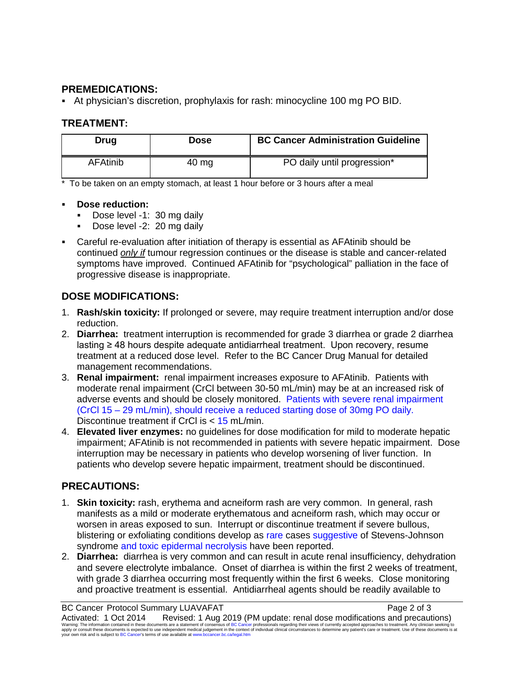### **PREMEDICATIONS:**

At physician's discretion, prophylaxis for rash: minocycline 100 mg PO BID.

## **TREATMENT:**

| Drug            | Dose  | <b>BC Cancer Administration Guideline</b> |
|-----------------|-------|-------------------------------------------|
| <b>AFAtinib</b> | 40 mg | PO daily until progression*               |

\* To be taken on an empty stomach, at least 1 hour before or 3 hours after a meal

### **Dose reduction:**

- Dose level -1: 30 mg daily
- Dose level -2: 20 mg daily
- Careful re-evaluation after initiation of therapy is essential as AFAtinib should be continued *only if* tumour regression continues or the disease is stable and cancer-related symptoms have improved. Continued AFAtinib for "psychological" palliation in the face of progressive disease is inappropriate.

## **DOSE MODIFICATIONS:**

- 1. **Rash/skin toxicity:** If prolonged or severe, may require treatment interruption and/or dose reduction.
- 2. **Diarrhea:** treatment interruption is recommended for grade 3 diarrhea or grade 2 diarrhea lasting ≥ 48 hours despite adequate antidiarrheal treatment. Upon recovery, resume treatment at a reduced dose level. Refer to the BC Cancer Drug Manual for detailed management recommendations.
- 3. **Renal impairment:** renal impairment increases exposure to AFAtinib. Patients with moderate renal impairment (CrCl between 30-50 mL/min) may be at an increased risk of adverse events and should be closely monitored. Patients with severe renal impairment (CrCl 15 – 29 mL/min), should receive a reduced starting dose of 30mg PO daily. Discontinue treatment if CrCl is < 15 mL/min.
- 4. **Elevated liver enzymes:** no guidelines for dose modification for mild to moderate hepatic impairment; AFAtinib is not recommended in patients with severe hepatic impairment. Dose interruption may be necessary in patients who develop worsening of liver function. In patients who develop severe hepatic impairment, treatment should be discontinued.

## **PRECAUTIONS:**

- 1. **Skin toxicity:** rash, erythema and acneiform rash are very common. In general, rash manifests as a mild or moderate erythematous and acneiform rash, which may occur or worsen in areas exposed to sun. Interrupt or discontinue treatment if severe bullous, blistering or exfoliating conditions develop as rare cases suggestive of Stevens-Johnson syndrome and toxic epidermal necrolysis have been reported.
- 2. **Diarrhea:** diarrhea is very common and can result in acute renal insufficiency, dehydration and severe electrolyte imbalance. Onset of diarrhea is within the first 2 weeks of treatment, with grade 3 diarrhea occurring most frequently within the first 6 weeks. Close monitoring and proactive treatment is essential. Antidiarrheal agents should be readily available to